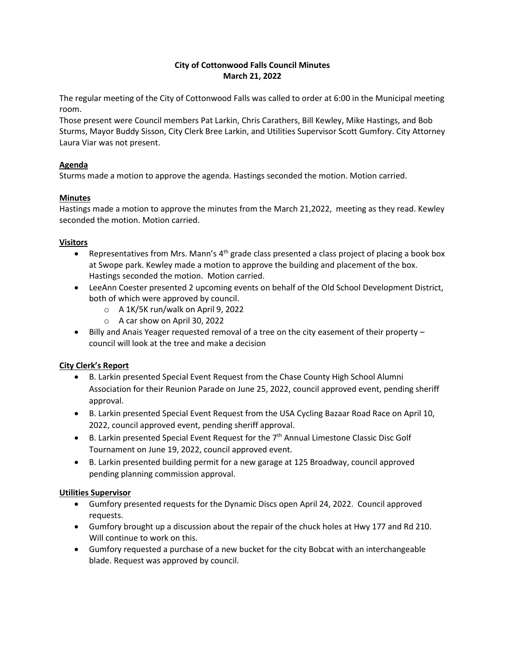# **City of Cottonwood Falls Council Minutes March 21, 2022**

The regular meeting of the City of Cottonwood Falls was called to order at 6:00 in the Municipal meeting room.

Those present were Council members Pat Larkin, Chris Carathers, Bill Kewley, Mike Hastings, and Bob Sturms, Mayor Buddy Sisson, City Clerk Bree Larkin, and Utilities Supervisor Scott Gumfory. City Attorney Laura Viar was not present.

# **Agenda**

Sturms made a motion to approve the agenda. Hastings seconded the motion. Motion carried.

# **Minutes**

Hastings made a motion to approve the minutes from the March 21,2022, meeting as they read. Kewley seconded the motion. Motion carried.

#### **Visitors**

- Representatives from Mrs. Mann's  $4<sup>th</sup>$  grade class presented a class project of placing a book box at Swope park. Kewley made a motion to approve the building and placement of the box. Hastings seconded the motion. Motion carried.
- LeeAnn Coester presented 2 upcoming events on behalf of the Old School Development District, both of which were approved by council.
	- o A 1K/5K run/walk on April 9, 2022
	- o A car show on April 30, 2022
- Billy and Anais Yeager requested removal of a tree on the city easement of their property council will look at the tree and make a decision

# **City Clerk's Report**

- B. Larkin presented Special Event Request from the Chase County High School Alumni Association for their Reunion Parade on June 25, 2022, council approved event, pending sheriff approval.
- B. Larkin presented Special Event Request from the USA Cycling Bazaar Road Race on April 10, 2022, council approved event, pending sheriff approval.
- B. Larkin presented Special Event Request for the 7<sup>th</sup> Annual Limestone Classic Disc Golf Tournament on June 19, 2022, council approved event.
- B. Larkin presented building permit for a new garage at 125 Broadway, council approved pending planning commission approval.

# **Utilities Supervisor**

- Gumfory presented requests for the Dynamic Discs open April 24, 2022. Council approved requests.
- Gumfory brought up a discussion about the repair of the chuck holes at Hwy 177 and Rd 210. Will continue to work on this.
- Gumfory requested a purchase of a new bucket for the city Bobcat with an interchangeable blade. Request was approved by council.